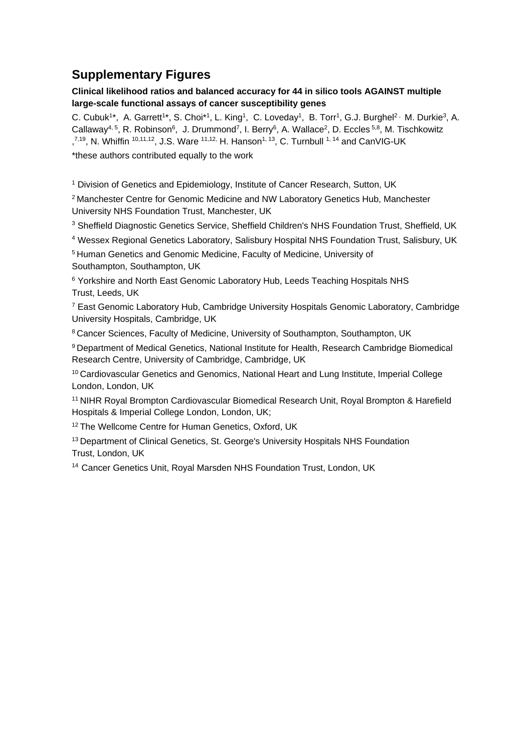## **Supplementary Figures**

## **Clinical likelihood ratios and balanced accuracy for 44 in silico tools AGAINST multiple large-scale functional assays of cancer susceptibility genes**

C. Cubuk<sup>1\*</sup>, A. Garrett<sup>1\*</sup>, S. Choi<sup>\*1</sup>, L. King<sup>1</sup>, C. Loveday<sup>1</sup>, B. Torr<sup>1</sup>, G.J. Burghel<sup>2,</sup> M. Durkie<sup>3</sup>, A. Callaway<sup>4, 5</sup>, R. Robinson<sup>6</sup>, J. Drummond<sup>7</sup>, I. Berry<sup>6</sup>, A. Wallace<sup>2</sup>, D. Eccles <sup>5,8</sup>, M. Tischkowitz  $,7.19$ , N. Whiffin  $10,11,12$ , J.S. Ware  $11,12$ , H. Hanson<sup>1, 13</sup>, C. Turnbull  $1,14$  and CanVIG-UK \*these authors contributed equally to the work

<sup>1</sup> Division of Genetics and Epidemiology, Institute of Cancer Research, Sutton, UK

<sup>2</sup> Manchester Centre for Genomic Medicine and NW Laboratory Genetics Hub, Manchester University NHS Foundation Trust, Manchester, UK

<sup>3</sup> Sheffield Diagnostic Genetics Service, Sheffield Children's NHS Foundation Trust, Sheffield, UK

<sup>4</sup> Wessex Regional Genetics Laboratory, Salisbury Hospital NHS Foundation Trust, Salisbury, UK

<sup>5</sup> Human Genetics and Genomic Medicine, Faculty of Medicine, University of Southampton, Southampton, UK

<sup>6</sup> Yorkshire and North East Genomic Laboratory Hub, Leeds Teaching Hospitals NHS Trust, Leeds, UK

<sup>7</sup> East Genomic Laboratory Hub, Cambridge University Hospitals Genomic Laboratory, Cambridge University Hospitals, Cambridge, UK

<sup>8</sup> Cancer Sciences, Faculty of Medicine, University of Southampton, Southampton, UK

<sup>9</sup>Department of Medical Genetics, National Institute for Health, Research Cambridge Biomedical Research Centre, University of Cambridge, Cambridge, UK

<sup>10</sup> Cardiovascular Genetics and Genomics, National Heart and Lung Institute, Imperial College London, London, UK

<sup>11</sup> NIHR Royal Brompton Cardiovascular Biomedical Research Unit, Royal Brompton & Harefield Hospitals & Imperial College London, London, UK;

<sup>12</sup> The Wellcome Centre for Human Genetics, Oxford, UK

<sup>13</sup> Department of Clinical Genetics, St. George's University Hospitals NHS Foundation Trust, London, UK

<sup>14</sup> Cancer Genetics Unit, Royal Marsden NHS Foundation Trust, London, UK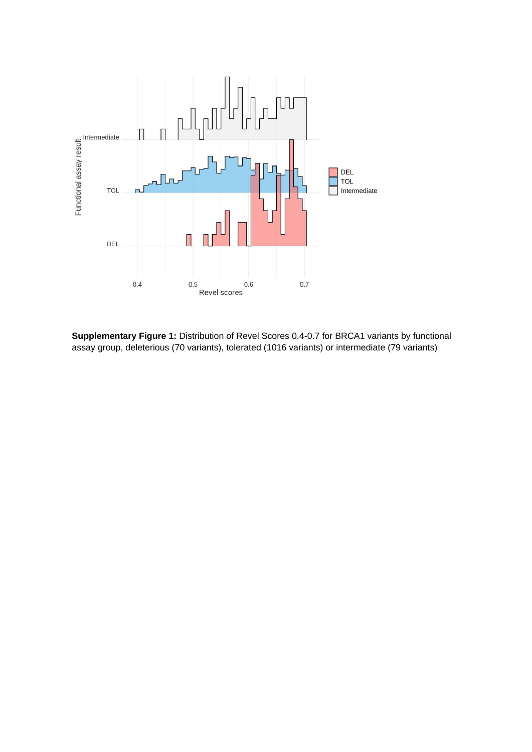

**Supplementary Figure 1:** Distribution of Revel Scores 0.4-0.7 for BRCA1 variants by functional assay group, deleterious (70 variants), tolerated (1016 variants) or intermediate (79 variants)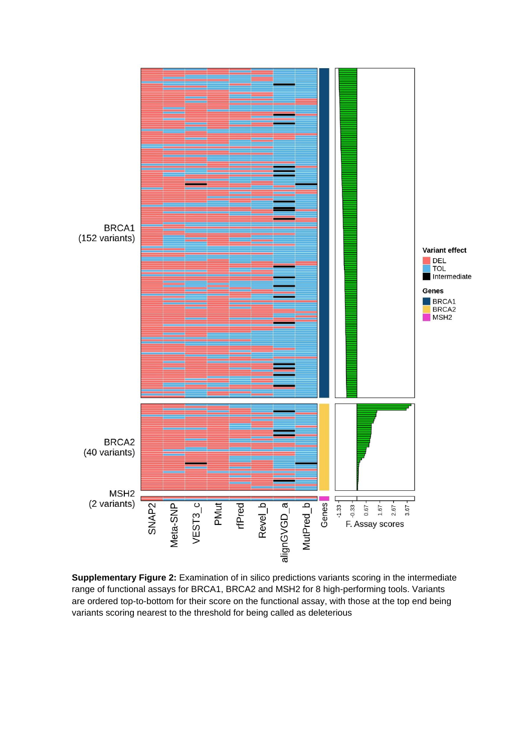

**Supplementary Figure 2:** Examination of in silico predictions variants scoring in the intermediate range of functional assays for BRCA1, BRCA2 and MSH2 for 8 high-performing tools. Variants are ordered top-to-bottom for their score on the functional assay, with those at the top end being variants scoring nearest to the threshold for being called as deleterious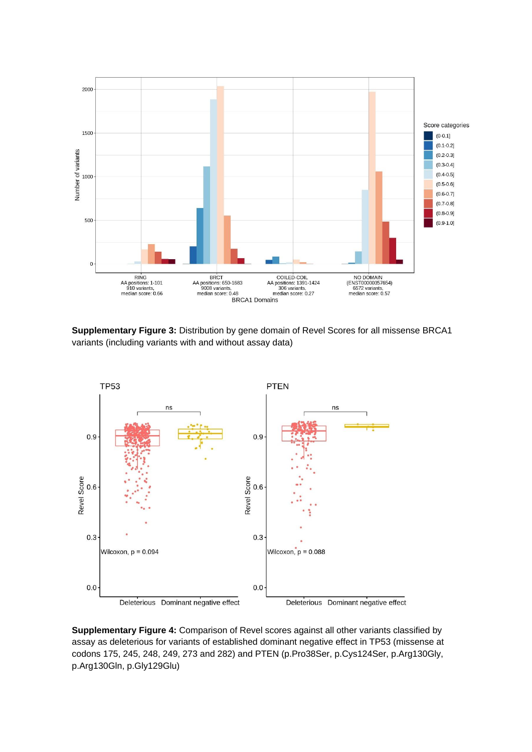

**Supplementary Figure 3:** Distribution by gene domain of Revel Scores for all missense BRCA1 variants (including variants with and without assay data)



**Supplementary Figure 4:** Comparison of Revel scores against all other variants classified by assay as deleterious for variants of established dominant negative effect in TP53 (missense at codons 175, 245, 248, 249, 273 and 282) and PTEN (p.Pro38Ser, p.Cys124Ser, p.Arg130Gly, p.Arg130Gln, p.Gly129Glu)